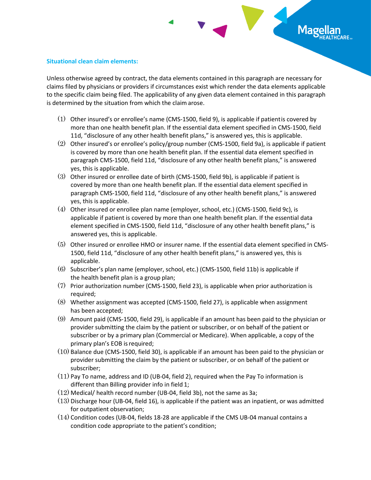## Mage

## **Situational clean claim elements:**

Unless otherwise agreed by contract, the data elements contained in this paragraph are necessary for claims filed by physicians or providers if circumstances exist which render the data elements applicable to the specific claim being filed. The applicability of any given data element contained in this paragraph is determined by the situation from which the claim arose.

- (1) Other insured's or enrollee's name (CMS-1500, field 9), is applicable if patientis covered by more than one health benefit plan. If the essential data element specified in CMS-1500, field 11d, "disclosure of any other health benefit plans," is answered yes, this is applicable.
- (2) Other insured's or enrollee's policy/group number (CMS-1500, field 9a), is applicable if patient is covered by more than one health benefit plan. If the essential data element specified in paragraph CMS-1500, field 11d, "disclosure of any other health benefit plans," is answered yes, this is applicable.
- (3) Other insured or enrollee date of birth (CMS-1500, field 9b), is applicable if patient is covered by more than one health benefit plan. If the essential data element specified in paragraph CMS-1500, field 11d, "disclosure of any other health benefit plans," is answered yes, this is applicable.
- (4) Other insured or enrollee plan name (employer, school, etc.) (CMS-1500, field 9c), is applicable if patient is covered by more than one health benefit plan. If the essential data element specified in CMS-1500, field 11d, "disclosure of any other health benefit plans," is answered yes, this is applicable.
- (5) Other insured or enrollee HMO or insurer name. If the essential data element specified in CMS-1500, field 11d, "disclosure of any other health benefit plans," is answered yes, this is applicable.
- (6) Subscriber's plan name (employer, school, etc.) (CMS-1500, field 11b) is applicable if the health benefit plan is a group plan;
- (7) Prior authorization number (CMS-1500, field 23), is applicable when prior authorization is required;
- (8) Whether assignment was accepted (CMS-1500, field 27), is applicable when assignment has been accepted;
- (9) Amount paid (CMS-1500, field 29), is applicable if an amount has been paid to the physician or provider submitting the claim by the patient or subscriber, or on behalf of the patient or subscriber or by a primary plan (Commercial or Medicare). When applicable, a copy of the primary plan's EOB isrequired;
- (10) Balance due (CMS-1500, field 30), is applicable if an amount has been paid to the physician or provider submitting the claim by the patient or subscriber, or on behalf of the patient or subscriber;
- (11) Pay To name, address and ID (UB-04, field 2), required when the Pay To information is different than Billing provider info in field 1;
- (12) Medical/ health record number (UB-04, field 3b), not the same as 3a;
- (13) Discharge hour (UB-04, field 16), is applicable if the patient was an inpatient, or was admitted for outpatient observation;
- (14) Condition codes (UB-04, fields 18-28 are applicable if the CMS UB-04 manual contains a condition code appropriate to the patient's condition;